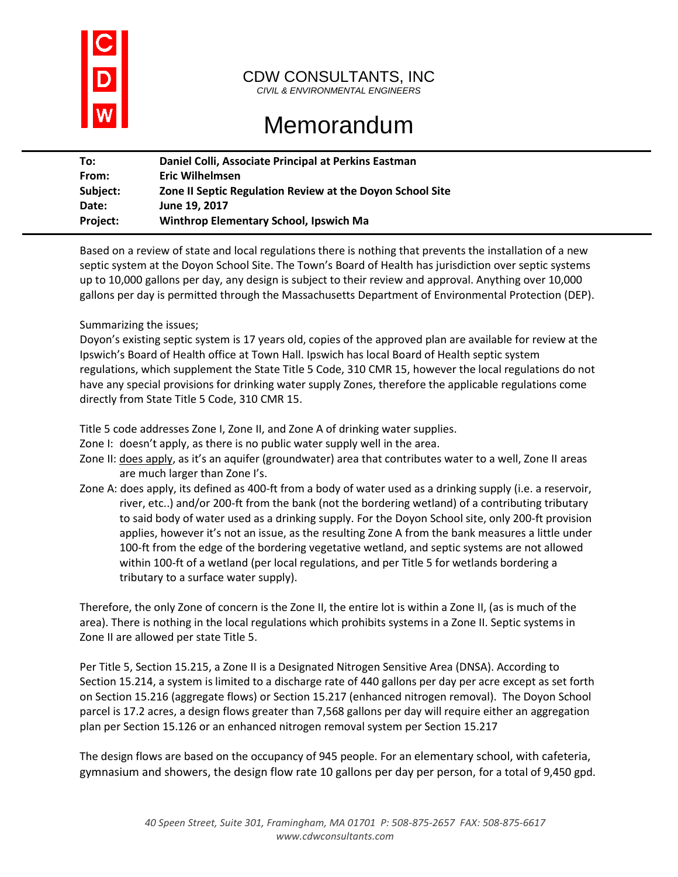

## CDW CONSULTANTS, INC

*CIVIL & ENVIRONMENTAL ENGINEERS*

## Memorandum

| To:             | Daniel Colli, Associate Principal at Perkins Eastman      |
|-----------------|-----------------------------------------------------------|
| From:           | <b>Eric Wilhelmsen</b>                                    |
| Subject:        | Zone II Septic Regulation Review at the Doyon School Site |
| Date:           | June 19, 2017                                             |
| <b>Project:</b> | Winthrop Elementary School, Ipswich Ma                    |
|                 |                                                           |

Based on a review of state and local regulations there is nothing that prevents the installation of a new septic system at the Doyon School Site. The Town's Board of Health has jurisdiction over septic systems up to 10,000 gallons per day, any design is subject to their review and approval. Anything over 10,000 gallons per day is permitted through the Massachusetts Department of Environmental Protection (DEP).

## Summarizing the issues;

Doyon's existing septic system is 17 years old, copies of the approved plan are available for review at the Ipswich's Board of Health office at Town Hall. Ipswich has local Board of Health septic system regulations, which supplement the State Title 5 Code, 310 CMR 15, however the local regulations do not have any special provisions for drinking water supply Zones, therefore the applicable regulations come directly from State Title 5 Code, 310 CMR 15.

Title 5 code addresses Zone I, Zone II, and Zone A of drinking water supplies.

Zone I: doesn't apply, as there is no public water supply well in the area.

- Zone II: does apply, as it's an aquifer (groundwater) area that contributes water to a well, Zone II areas are much larger than Zone I's.
- Zone A: does apply, its defined as 400-ft from a body of water used as a drinking supply (i.e. a reservoir, river, etc..) and/or 200-ft from the bank (not the bordering wetland) of a contributing tributary to said body of water used as a drinking supply. For the Doyon School site, only 200-ft provision applies, however it's not an issue, as the resulting Zone A from the bank measures a little under 100-ft from the edge of the bordering vegetative wetland, and septic systems are not allowed within 100-ft of a wetland (per local regulations, and per Title 5 for wetlands bordering a tributary to a surface water supply).

Therefore, the only Zone of concern is the Zone II, the entire lot is within a Zone II, (as is much of the area). There is nothing in the local regulations which prohibits systems in a Zone II. Septic systems in Zone II are allowed per state Title 5.

Per Title 5, Section 15.215, a Zone II is a Designated Nitrogen Sensitive Area (DNSA). According to Section 15.214, a system is limited to a discharge rate of 440 gallons per day per acre except as set forth on Section 15.216 (aggregate flows) or Section 15.217 (enhanced nitrogen removal). The Doyon School parcel is 17.2 acres, a design flows greater than 7,568 gallons per day will require either an aggregation plan per Section 15.126 or an enhanced nitrogen removal system per Section 15.217

The design flows are based on the occupancy of 945 people. For an elementary school, with cafeteria, gymnasium and showers, the design flow rate 10 gallons per day per person, for a total of 9,450 gpd.